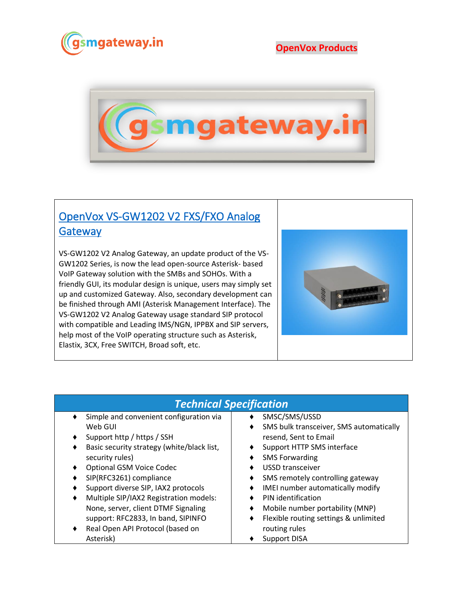

## **OpenVox Products**



## [OpenVox VS-GW1202 V2 FXS/FXO Analog](https://www.gsmgateway.in/openvox/VS-GW1202-V2-FXSFXO-Analog-Gateway.html)  **Gateway**

VS-GW1202 V2 Analog Gateway, an update product of the VS-GW1202 Series, is now the lead open-source Asterisk- based VoIP Gateway solution with the SMBs and SOHOs. With a friendly GUI, its modular design is unique, users may simply set up and customized Gateway. Also, secondary development can be finished through AMI (Asterisk Management Interface). The VS-GW1202 V2 Analog Gateway usage standard SIP protocol with compatible and Leading IMS/NGN, IPPBX and SIP servers, help most of the VoIP operating structure such as Asterisk, Elastix, 3CX, Free SWITCH, Broad soft, etc.



## *Technical Specification*

- Simple and convenient configuration via Web GUI
- ♦ Support http / https / SSH
- ♦ Basic security strategy (white/black list, security rules)
- ♦ Optional GSM Voice Codec
- ♦ SIP(RFC3261) compliance
- Support diverse SIP, IAX2 protocols
- Multiple SIP/IAX2 Registration models: None, server, client DTMF Signaling support: RFC2833, In band, SIPINFO
- Real Open API Protocol (based on Asterisk)
- ♦ SMSC/SMS/USSD
- ♦ SMS bulk transceiver, SMS automatically resend, Sent to Email
- ♦ Support HTTP SMS interface
- ♦ SMS Forwarding
- ♦ USSD transceiver
- ♦ SMS remotely controlling gateway
- ♦ IMEI number automatically modify
- ♦ PIN identification
- Mobile number portability (MNP)
- ♦ Flexible routing settings & unlimited routing rules
- ♦ Support DISA